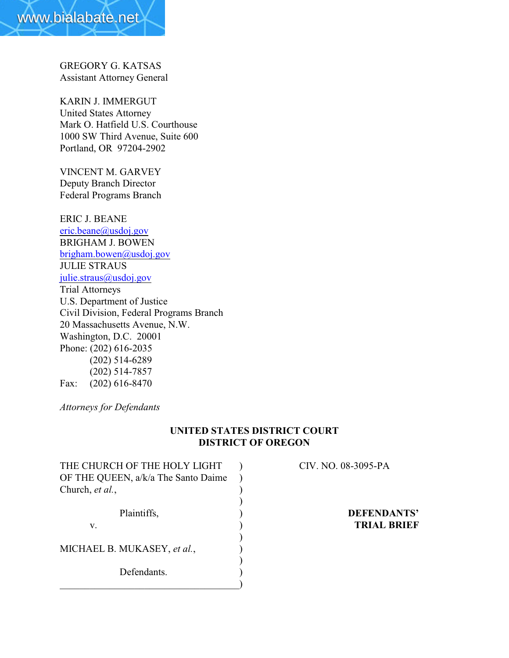GREGORY G. KATSAS Assistant Attorney General

KARIN J. IMMERGUT United States Attorney Mark O. Hatfield U.S. Courthouse 1000 SW Third Avenue, Suite 600 Portland, OR 97204-2902

VINCENT M. GARVEY Deputy Branch Director Federal Programs Branch

ERIC J. BEANE [eric.beane@usdoj.gov](mailto:eric.beane@usdoj.gov) BRIGHAM J. BOWEN [brigham.bowen@usdoj.gov](mailto:brigham.bowen@usdoj.gov) JULIE STRAUS [julie.straus@usdoj.gov](mailto:julie.straus@usdoj.gov) Trial Attorneys U.S. Department of Justice Civil Division, Federal Programs Branch 20 Massachusetts Avenue, N.W. Washington, D.C. 20001 Phone: (202) 616-2035 (202) 514-6289 (202) 514-7857 Fax: (202) 616-8470

*Attorneys for Defendants*

# **UNITED STATES DISTRICT COURT DISTRICT OF OREGON**

| THE CHURCH OF THE HOLY LIGHT        |  | CIV. NO. 08-3095-PA |
|-------------------------------------|--|---------------------|
| OF THE QUEEN, a/k/a The Santo Daime |  |                     |
| Church, et al.,                     |  |                     |
|                                     |  |                     |
| Plaintiffs,                         |  | DEFENDANTS'         |
| V.                                  |  | <b>TRIAL BRIEF</b>  |
|                                     |  |                     |
| MICHAEL B. MUKASEY, et al.,         |  |                     |
|                                     |  |                     |
| Defendants.                         |  |                     |
|                                     |  |                     |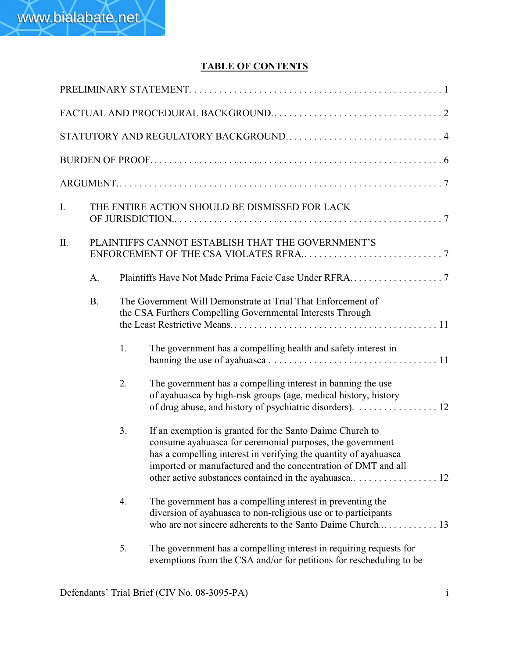# **TABLE OF CONTENTS**

| Ι. |           |    | THE ENTIRE ACTION SHOULD BE DISMISSED FOR LACK                                                                                                                                                                                                             |
|----|-----------|----|------------------------------------------------------------------------------------------------------------------------------------------------------------------------------------------------------------------------------------------------------------|
| Π. |           |    | PLAINTIFFS CANNOT ESTABLISH THAT THE GOVERNMENT'S                                                                                                                                                                                                          |
|    | A.        |    |                                                                                                                                                                                                                                                            |
|    | <b>B.</b> |    | The Government Will Demonstrate at Trial That Enforcement of<br>the CSA Furthers Compelling Governmental Interests Through                                                                                                                                 |
|    |           | 1. | The government has a compelling health and safety interest in                                                                                                                                                                                              |
|    |           | 2. | The government has a compelling interest in banning the use<br>of ayahuasca by high-risk groups (age, medical history, history<br>of drug abuse, and history of psychiatric disorders). 12                                                                 |
|    |           | 3. | If an exemption is granted for the Santo Daime Church to<br>consume ayahuasca for ceremonial purposes, the government<br>has a compelling interest in verifying the quantity of ayahuasca<br>imported or manufactured and the concentration of DMT and all |
|    |           | 4. | The government has a compelling interest in preventing the<br>diversion of ayahuasca to non-religious use or to participants                                                                                                                               |
|    |           | 5. | The government has a compelling interest in requiring requests for<br>exemptions from the CSA and/or for petitions for rescheduling to be                                                                                                                  |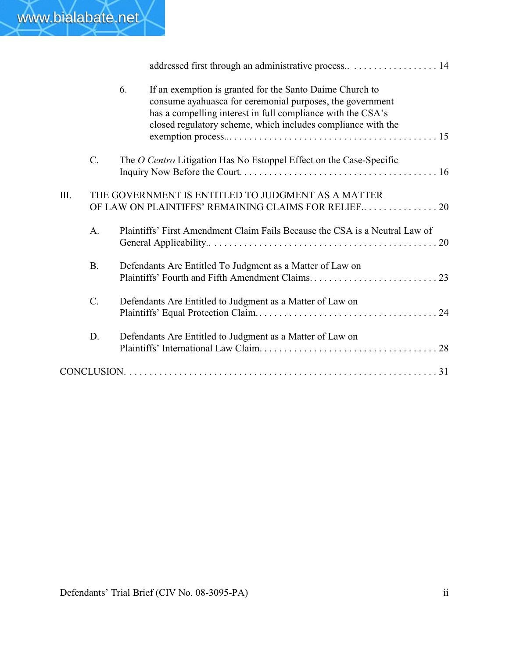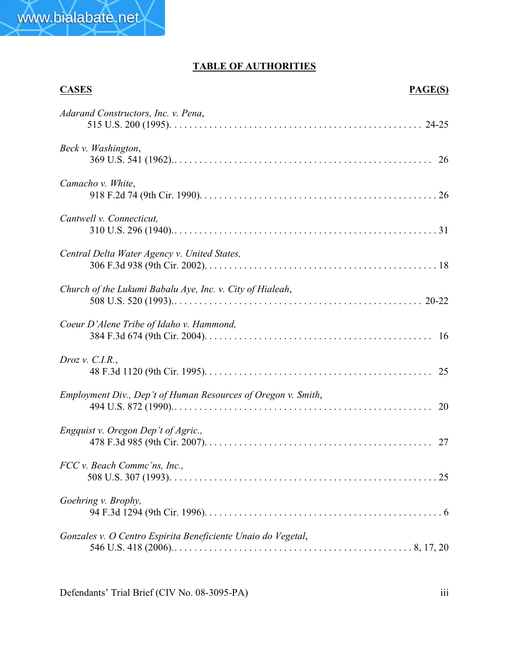# **TABLE OF AUTHORITIES**

# **CASES PAGE(S)** *Adarand Constructors, Inc. v. Pena*, 515 U.S. 200 (1995). .................................................. 24-25 *Beck v. Washington*, 369 U.S. 541 (1962)..................................................... 26 *Camacho v. White*, 918 F.2d 74 (9th Cir. 1990). ............................................... 26 *Cantwell v. Connecticut,* 310 U.S. 296 (1940)...................................................... 31 *Central Delta Water Agency v. United States,* 306 F.3d 938 (9th Cir. 2002). .............................................. 18 *Church of the Lukumi Babalu Aye, Inc. v. City of Hialeah*, 508 U.S. 520 (1993)................................................... 20-22 *Coeur D'Alene Tribe of Idaho v. Hammond,* 384 F.3d 674 (9th Cir. 2004). ............................................. 16 *Droz v. C.I.R.*, 48 F.3d 1120 (9th Cir. 1995). ............................................. 25 *Employment Div., Dep't of Human Resources of Oregon v. Smith*, 494 U.S. 872 (1990)..................................................... 20 *Engquist v. Oregon Dep't of Agric.,* 478 F.3d 985 (9th Cir. 2007). ............................................. 27 *FCC v. Beach Commc'ns, Inc.,* 508 U.S. 307 (1993). ..................................................... 25 *Goehring v. Brophy,* 94 F.3d 1294 (9th Cir. 1996). ............................................... 6 *Gonzales v. O Centro Espirita Beneficiente Unaio do Vegetal*, 546 U.S. 418 (2006)................................................. 8, 17, 20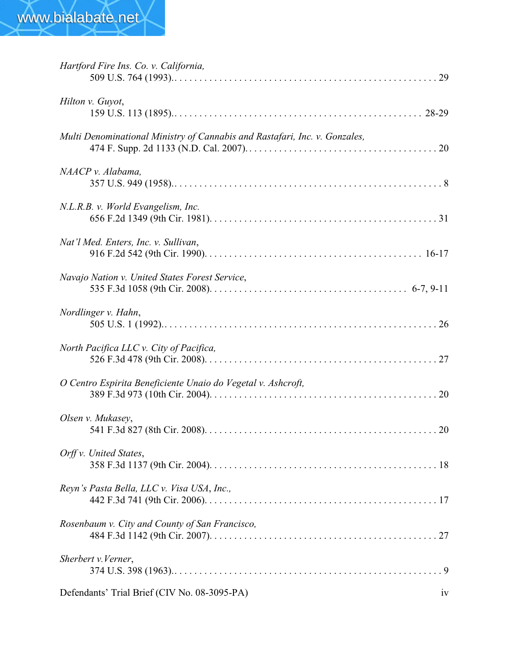| Hartford Fire Ins. Co. v. California,                                      |
|----------------------------------------------------------------------------|
| Hilton v. Guyot,                                                           |
| Multi Denominational Ministry of Cannabis and Rastafari, Inc. v. Gonzales, |
| NAACP v. Alabama,                                                          |
| N.L.R.B. v. World Evangelism, Inc.                                         |
| Nat'l Med. Enters, Inc. v. Sullivan,                                       |
| Navajo Nation v. United States Forest Service,                             |
| Nordlinger v. Hahn,                                                        |
| North Pacifica LLC v. City of Pacifica,                                    |
| O Centro Espirita Beneficiente Unaio do Vegetal v. Ashcroft,               |
| Olsen v. Mukasey,                                                          |
| Orff v. United States,                                                     |
| Reyn's Pasta Bella, LLC v. Visa USA, Inc.,                                 |
| Rosenbaum v. City and County of San Francisco,                             |
| Sherbert v. Verner,                                                        |
| Defendants' Trial Brief (CIV No. 08-3095-PA)<br>1V                         |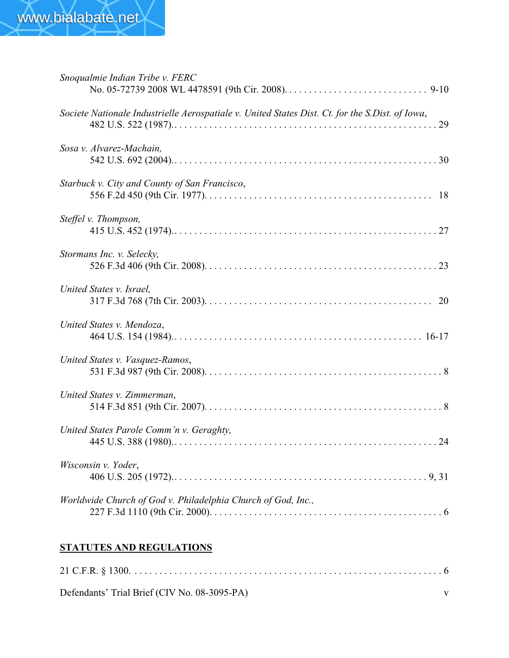| Snoqualmie Indian Tribe v. FERC                                                                 |  |
|-------------------------------------------------------------------------------------------------|--|
| Societe Nationale Industrielle Aerospatiale v. United States Dist. Ct. for the S.Dist. of Iowa, |  |
| Sosa v. Alvarez-Machain,                                                                        |  |
| Starbuck v. City and County of San Francisco,                                                   |  |
| Steffel v. Thompson,                                                                            |  |
| Stormans Inc. v. Selecky,                                                                       |  |
| United States v. Israel,                                                                        |  |
| United States v. Mendoza,                                                                       |  |
| United States v. Vasquez-Ramos,                                                                 |  |
| United States v. Zimmerman,                                                                     |  |
| United States Parole Comm'n v. Geraghty,                                                        |  |
| Wisconsin v. Yoder,                                                                             |  |
| Worldwide Church of God v. Philadelphia Church of God, Inc.,                                    |  |

# **STATUTES AND REGULATIONS**

| Defendants' Trial Brief (CIV No. 08-3095-PA) |  |
|----------------------------------------------|--|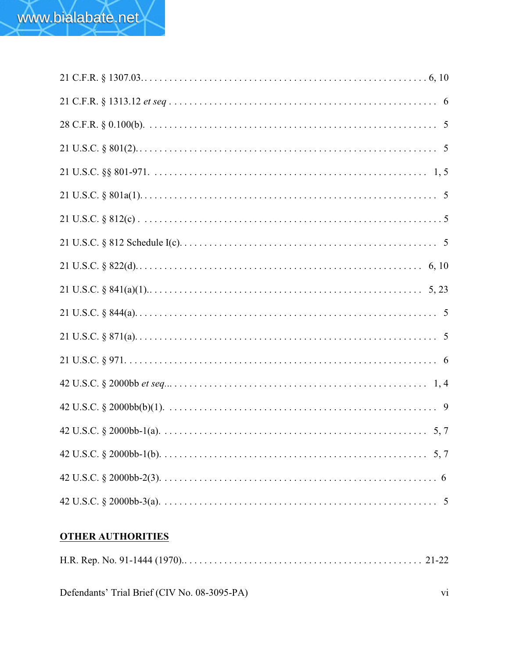# **OTHER AUTHORITIES**

|--|--|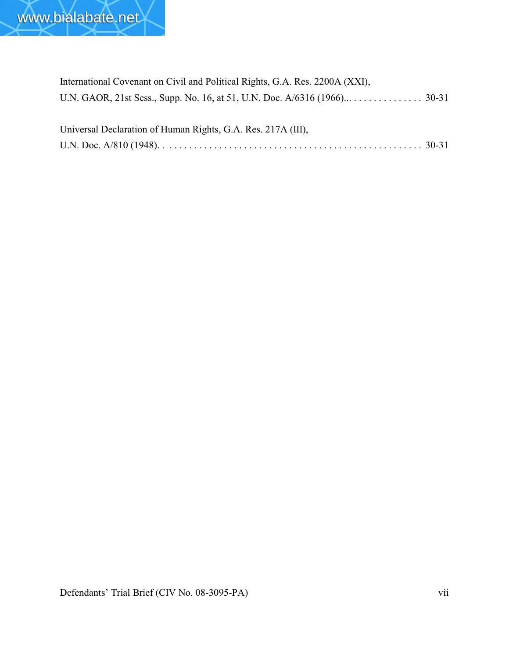

| International Covenant on Civil and Political Rights, G.A. Res. 2200A (XXI), |
|------------------------------------------------------------------------------|
|                                                                              |
| Universal Declaration of Human Rights, G.A. Res. 217A (III),                 |
|                                                                              |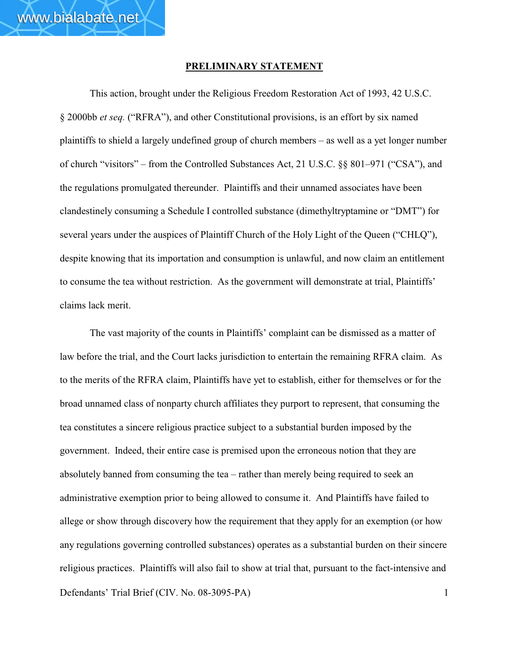#### **PRELIMINARY STATEMENT**

This action, brought under the Religious Freedom Restoration Act of 1993, 42 U.S.C. § 2000bb *et seq.* ("RFRA"), and other Constitutional provisions, is an effort by six named plaintiffs to shield a largely undefined group of church members – as well as a yet longer number of church "visitors" – from the Controlled Substances Act, 21 U.S.C. §§ 801–971 ("CSA"), and the regulations promulgated thereunder. Plaintiffs and their unnamed associates have been clandestinely consuming a Schedule I controlled substance (dimethyltryptamine or "DMT") for several years under the auspices of Plaintiff Church of the Holy Light of the Queen ("CHLQ"), despite knowing that its importation and consumption is unlawful, and now claim an entitlement to consume the tea without restriction. As the government will demonstrate at trial, Plaintiffs' claims lack merit.

Defendants' Trial Brief (CIV. No. 08-3095-PA) 1 The vast majority of the counts in Plaintiffs' complaint can be dismissed as a matter of law before the trial, and the Court lacks jurisdiction to entertain the remaining RFRA claim. As to the merits of the RFRA claim, Plaintiffs have yet to establish, either for themselves or for the broad unnamed class of nonparty church affiliates they purport to represent, that consuming the tea constitutes a sincere religious practice subject to a substantial burden imposed by the government. Indeed, their entire case is premised upon the erroneous notion that they are absolutely banned from consuming the tea – rather than merely being required to seek an administrative exemption prior to being allowed to consume it. And Plaintiffs have failed to allege or show through discovery how the requirement that they apply for an exemption (or how any regulations governing controlled substances) operates as a substantial burden on their sincere religious practices. Plaintiffs will also fail to show at trial that, pursuant to the fact-intensive and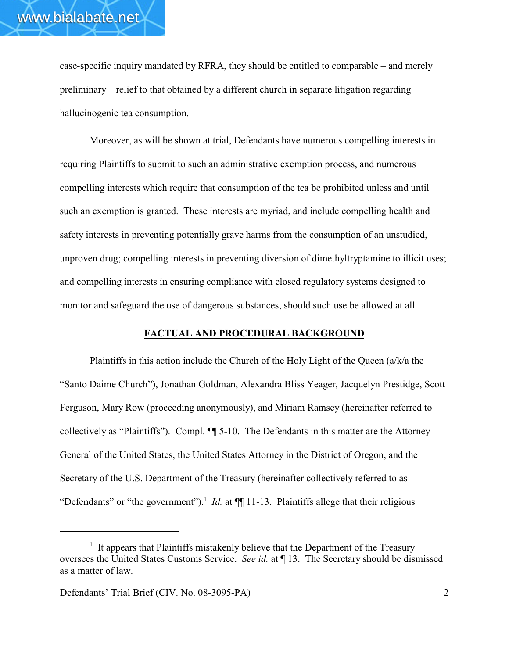case-specific inquiry mandated by RFRA, they should be entitled to comparable – and merely preliminary – relief to that obtained by a different church in separate litigation regarding hallucinogenic tea consumption.

Moreover, as will be shown at trial, Defendants have numerous compelling interests in requiring Plaintiffs to submit to such an administrative exemption process, and numerous compelling interests which require that consumption of the tea be prohibited unless and until such an exemption is granted. These interests are myriad, and include compelling health and safety interests in preventing potentially grave harms from the consumption of an unstudied, unproven drug; compelling interests in preventing diversion of dimethyltryptamine to illicit uses; and compelling interests in ensuring compliance with closed regulatory systems designed to monitor and safeguard the use of dangerous substances, should such use be allowed at all.

#### **FACTUAL AND PROCEDURAL BACKGROUND**

Plaintiffs in this action include the Church of the Holy Light of the Queen (a/k/a the "Santo Daime Church"), Jonathan Goldman, Alexandra Bliss Yeager, Jacquelyn Prestidge, Scott Ferguson, Mary Row (proceeding anonymously), and Miriam Ramsey (hereinafter referred to collectively as "Plaintiffs"). Compl. ¶¶ 5-10. The Defendants in this matter are the Attorney General of the United States, the United States Attorney in the District of Oregon, and the Secretary of the U.S. Department of the Treasury (hereinafter collectively referred to as "Defendants" or "the government").<sup>1</sup> *Id.* at  $\P$ [11-13. Plaintiffs allege that their religious

 $1$  It appears that Plaintiffs mistakenly believe that the Department of the Treasury oversees the United States Customs Service. *See id.* at ¶ 13. The Secretary should be dismissed as a matter of law.

Defendants' Trial Brief (CIV. No. 08-3095-PA) 2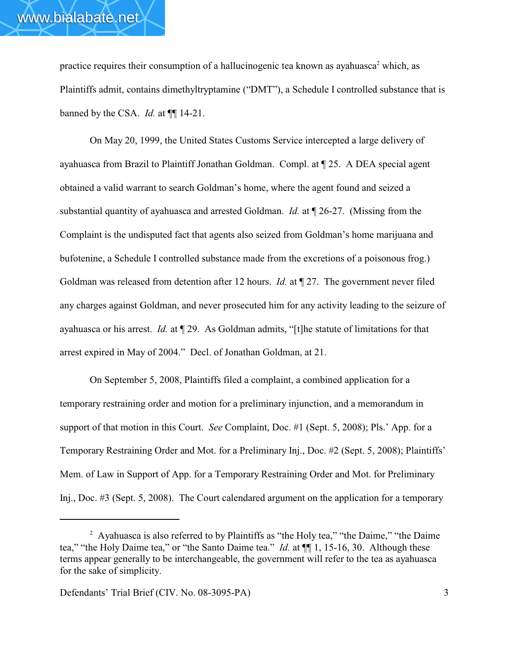practice requires their consumption of a hallucinogenic tea known as ayahuasca<sup>2</sup> which, as Plaintiffs admit, contains dimethyltryptamine ("DMT"), a Schedule I controlled substance that is banned by the CSA. *Id.* at ¶¶ 14-21.

On May 20, 1999, the United States Customs Service intercepted a large delivery of ayahuasca from Brazil to Plaintiff Jonathan Goldman. Compl. at ¶ 25. A DEA special agent obtained a valid warrant to search Goldman's home, where the agent found and seized a substantial quantity of ayahuasca and arrested Goldman. *Id.* at ¶ 26-27. (Missing from the Complaint is the undisputed fact that agents also seized from Goldman's home marijuana and bufotenine, a Schedule I controlled substance made from the excretions of a poisonous frog.) Goldman was released from detention after 12 hours. *Id.* at ¶ 27. The government never filed any charges against Goldman, and never prosecuted him for any activity leading to the seizure of ayahuasca or his arrest. *Id.* at ¶ 29. As Goldman admits, "[t]he statute of limitations for that arrest expired in May of 2004." Decl. of Jonathan Goldman, at 21.

On September 5, 2008, Plaintiffs filed a complaint, a combined application for a temporary restraining order and motion for a preliminary injunction, and a memorandum in support of that motion in this Court. *See* Complaint, Doc. #1 (Sept. 5, 2008); Pls.' App. for a Temporary Restraining Order and Mot. for a Preliminary Inj., Doc. #2 (Sept. 5, 2008); Plaintiffs' Mem. of Law in Support of App. for a Temporary Restraining Order and Mot. for Preliminary Inj., Doc. #3 (Sept. 5, 2008). The Court calendared argument on the application for a temporary

<sup>&</sup>lt;sup>2</sup> Ayahuasca is also referred to by Plaintiffs as "the Holy tea," "the Daime," "the Daime tea," "the Holy Daime tea," or "the Santo Daime tea." *Id.* at ¶¶ 1, 15-16, 30. Although these terms appear generally to be interchangeable, the government will refer to the tea as ayahuasca for the sake of simplicity.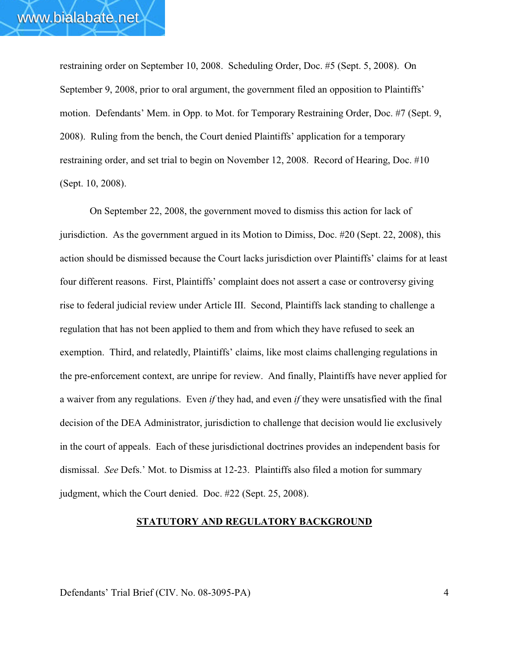restraining order on September 10, 2008. Scheduling Order, Doc. #5 (Sept. 5, 2008). On September 9, 2008, prior to oral argument, the government filed an opposition to Plaintiffs' motion. Defendants' Mem. in Opp. to Mot. for Temporary Restraining Order, Doc. #7 (Sept. 9, 2008). Ruling from the bench, the Court denied Plaintiffs' application for a temporary restraining order, and set trial to begin on November 12, 2008. Record of Hearing, Doc. #10 (Sept. 10, 2008).

On September 22, 2008, the government moved to dismiss this action for lack of jurisdiction. As the government argued in its Motion to Dimiss, Doc. #20 (Sept. 22, 2008), this action should be dismissed because the Court lacks jurisdiction over Plaintiffs' claims for at least four different reasons. First, Plaintiffs' complaint does not assert a case or controversy giving rise to federal judicial review under Article III. Second, Plaintiffs lack standing to challenge a regulation that has not been applied to them and from which they have refused to seek an exemption. Third, and relatedly, Plaintiffs' claims, like most claims challenging regulations in the pre-enforcement context, are unripe for review. And finally, Plaintiffs have never applied for a waiver from any regulations. Even *if* they had, and even *if* they were unsatisfied with the final decision of the DEA Administrator, jurisdiction to challenge that decision would lie exclusively in the court of appeals. Each of these jurisdictional doctrines provides an independent basis for dismissal. *See* Defs.' Mot. to Dismiss at 12-23. Plaintiffs also filed a motion for summary judgment, which the Court denied. Doc. #22 (Sept. 25, 2008).

#### **STATUTORY AND REGULATORY BACKGROUND**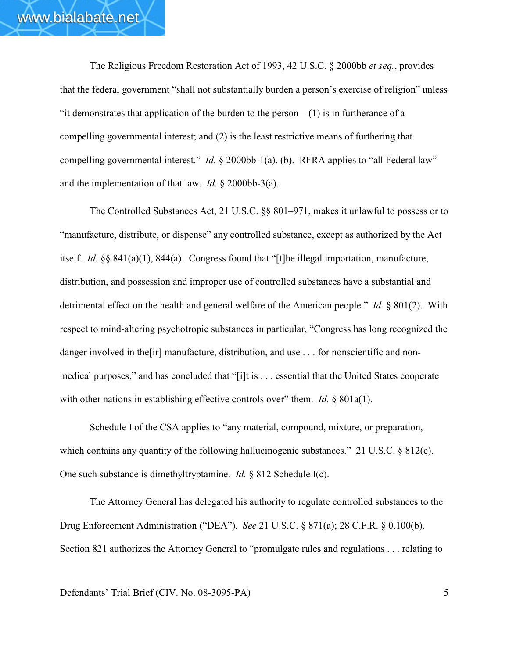The Religious Freedom Restoration Act of 1993, 42 U.S.C. § 2000bb *et seq.*, provides that the federal government "shall not substantially burden a person's exercise of religion" unless "it demonstrates that application of the burden to the person—(1) is in furtherance of a compelling governmental interest; and (2) is the least restrictive means of furthering that compelling governmental interest." *Id.* § 2000bb-1(a), (b). RFRA applies to "all Federal law" and the implementation of that law. *Id.* § 2000bb-3(a).

The Controlled Substances Act, 21 U.S.C. §§ 801–971, makes it unlawful to possess or to "manufacture, distribute, or dispense" any controlled substance, except as authorized by the Act itself. *Id.* §§ 841(a)(1), 844(a). Congress found that "[t]he illegal importation, manufacture, distribution, and possession and improper use of controlled substances have a substantial and detrimental effect on the health and general welfare of the American people." *Id.* § 801(2). With respect to mind-altering psychotropic substances in particular, "Congress has long recognized the danger involved in the [ir] manufacture, distribution, and use . . . for nonscientific and nonmedical purposes," and has concluded that "[i]t is . . . essential that the United States cooperate with other nations in establishing effective controls over" them. *Id.* § 801a(1).

Schedule I of the CSA applies to "any material, compound, mixture, or preparation, which contains any quantity of the following hallucinogenic substances." 21 U.S.C. § 812(c). One such substance is dimethyltryptamine. *Id.* § 812 Schedule I(c).

The Attorney General has delegated his authority to regulate controlled substances to the Drug Enforcement Administration ("DEA"). *See* 21 U.S.C. § 871(a); 28 C.F.R. § 0.100(b). Section 821 authorizes the Attorney General to "promulgate rules and regulations . . . relating to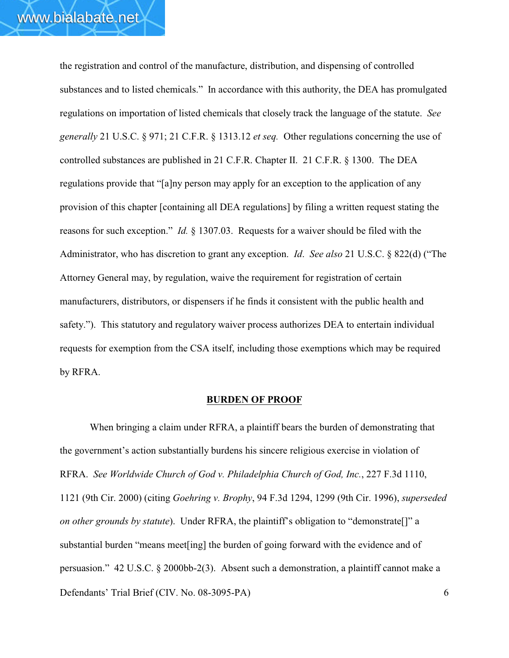the registration and control of the manufacture, distribution, and dispensing of controlled substances and to listed chemicals." In accordance with this authority, the DEA has promulgated regulations on importation of listed chemicals that closely track the language of the statute. *See generally* 21 U.S.C. § 971; 21 C.F.R. § 1313.12 *et seq.* Other regulations concerning the use of controlled substances are published in 21 C.F.R. Chapter II. 21 C.F.R. § 1300. The DEA regulations provide that "[a]ny person may apply for an exception to the application of any provision of this chapter [containing all DEA regulations] by filing a written request stating the reasons for such exception." *Id.* § 1307.03. Requests for a waiver should be filed with the Administrator, who has discretion to grant any exception. *Id*. *See also* 21 U.S.C. § 822(d) ("The Attorney General may, by regulation, waive the requirement for registration of certain manufacturers, distributors, or dispensers if he finds it consistent with the public health and safety."). This statutory and regulatory waiver process authorizes DEA to entertain individual requests for exemption from the CSA itself, including those exemptions which may be required by RFRA.

#### **BURDEN OF PROOF**

Defendants' Trial Brief (CIV. No. 08-3095-PA) 6 When bringing a claim under RFRA, a plaintiff bears the burden of demonstrating that the government's action substantially burdens his sincere religious exercise in violation of RFRA. *See Worldwide Church of God v. Philadelphia Church of God, Inc.*, 227 F.3d 1110, 1121 (9th Cir. 2000) (citing *Goehring v. Brophy*, 94 F.3d 1294, 1299 (9th Cir. 1996), *superseded on other grounds by statute*). Under RFRA, the plaintiff's obligation to "demonstrate[]" a substantial burden "means meet[ing] the burden of going forward with the evidence and of persuasion." 42 U.S.C. § 2000bb-2(3). Absent such a demonstration, a plaintiff cannot make a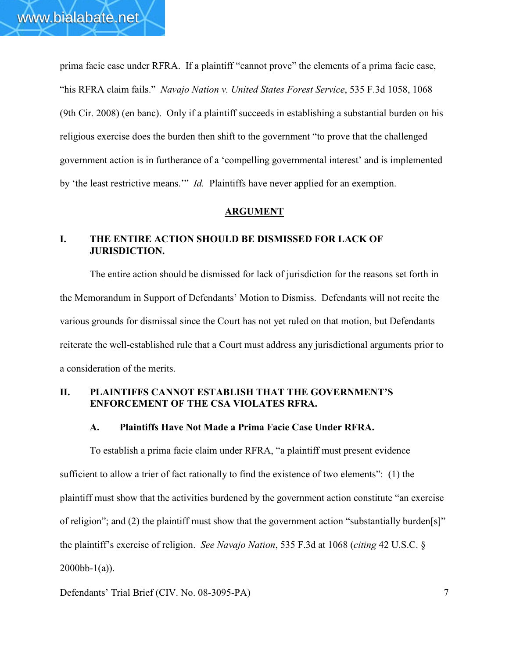prima facie case under RFRA. If a plaintiff "cannot prove" the elements of a prima facie case, "his RFRA claim fails." *Navajo Nation v. United States Forest Service*, 535 F.3d 1058, 1068 (9th Cir. 2008) (en banc). Only if a plaintiff succeeds in establishing a substantial burden on his religious exercise does the burden then shift to the government "to prove that the challenged government action is in furtherance of a 'compelling governmental interest' and is implemented by 'the least restrictive means.'" *Id.* Plaintiffs have never applied for an exemption.

#### **ARGUMENT**

#### **I. THE ENTIRE ACTION SHOULD BE DISMISSED FOR LACK OF JURISDICTION.**

The entire action should be dismissed for lack of jurisdiction for the reasons set forth in the Memorandum in Support of Defendants' Motion to Dismiss. Defendants will not recite the various grounds for dismissal since the Court has not yet ruled on that motion, but Defendants reiterate the well-established rule that a Court must address any jurisdictional arguments prior to a consideration of the merits.

#### **II. PLAINTIFFS CANNOT ESTABLISH THAT THE GOVERNMENT'S ENFORCEMENT OF THE CSA VIOLATES RFRA.**

#### **A. Plaintiffs Have Not Made a Prima Facie Case Under RFRA.**

To establish a prima facie claim under RFRA, "a plaintiff must present evidence sufficient to allow a trier of fact rationally to find the existence of two elements": (1) the plaintiff must show that the activities burdened by the government action constitute "an exercise of religion"; and (2) the plaintiff must show that the government action "substantially burden[s]" the plaintiff's exercise of religion. *See Navajo Nation*, 535 F.3d at 1068 (*citing* 42 U.S.C. §  $2000bb-1(a)$ .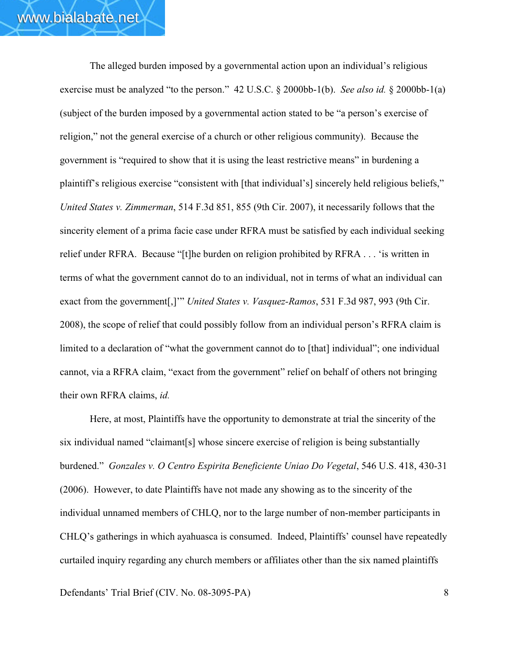The alleged burden imposed by a governmental action upon an individual's religious exercise must be analyzed "to the person." 42 U.S.C. § 2000bb-1(b). *See also id.* § 2000bb-1(a) (subject of the burden imposed by a governmental action stated to be "a person's exercise of religion," not the general exercise of a church or other religious community). Because the government is "required to show that it is using the least restrictive means" in burdening a plaintiff's religious exercise "consistent with [that individual's] sincerely held religious beliefs," *United States v. Zimmerman*, 514 F.3d 851, 855 (9th Cir. 2007), it necessarily follows that the sincerity element of a prima facie case under RFRA must be satisfied by each individual seeking relief under RFRA. Because "[t]he burden on religion prohibited by RFRA . . . 'is written in terms of what the government cannot do to an individual, not in terms of what an individual can exact from the government[,]'" *United States v. Vasquez-Ramos*, 531 F.3d 987, 993 (9th Cir. 2008), the scope of relief that could possibly follow from an individual person's RFRA claim is limited to a declaration of "what the government cannot do to [that] individual"; one individual cannot, via a RFRA claim, "exact from the government" relief on behalf of others not bringing their own RFRA claims, *id.*

Here, at most, Plaintiffs have the opportunity to demonstrate at trial the sincerity of the six individual named "claimant[s] whose sincere exercise of religion is being substantially burdened." *Gonzales v. O Centro Espirita Beneficiente Uniao Do Vegetal*, 546 U.S. 418, 430-31 (2006). However, to date Plaintiffs have not made any showing as to the sincerity of the individual unnamed members of CHLQ, nor to the large number of non-member participants in CHLQ's gatherings in which ayahuasca is consumed. Indeed, Plaintiffs' counsel have repeatedly curtailed inquiry regarding any church members or affiliates other than the six named plaintiffs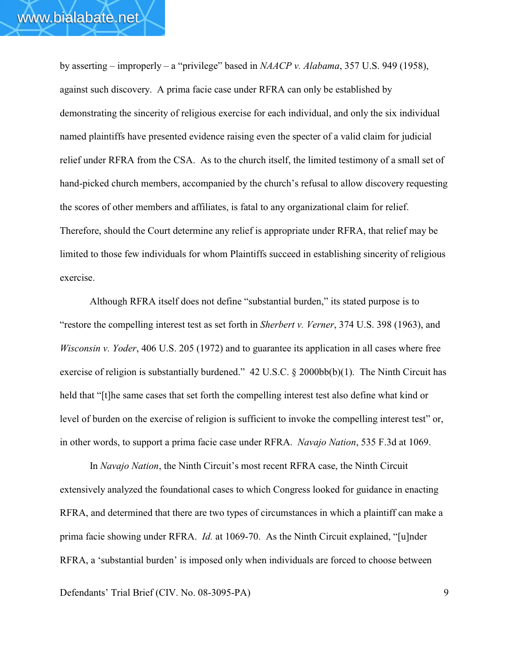by asserting – improperly – a "privilege" based in *NAACP v. Alabama*, 357 U.S. 949 (1958), against such discovery. A prima facie case under RFRA can only be established by demonstrating the sincerity of religious exercise for each individual, and only the six individual named plaintiffs have presented evidence raising even the specter of a valid claim for judicial relief under RFRA from the CSA. As to the church itself, the limited testimony of a small set of hand-picked church members, accompanied by the church's refusal to allow discovery requesting the scores of other members and affiliates, is fatal to any organizational claim for relief. Therefore, should the Court determine any relief is appropriate under RFRA, that relief may be limited to those few individuals for whom Plaintiffs succeed in establishing sincerity of religious exercise.

Although RFRA itself does not define "substantial burden," its stated purpose is to "restore the compelling interest test as set forth in *Sherbert v. Verner*, 374 U.S. 398 (1963), and *Wisconsin v. Yoder*, 406 U.S. 205 (1972) and to guarantee its application in all cases where free exercise of religion is substantially burdened."  $42 \text{ U.S.C.}$  §  $2000 \text{bb(b)}(1)$ . The Ninth Circuit has held that "[t]he same cases that set forth the compelling interest test also define what kind or level of burden on the exercise of religion is sufficient to invoke the compelling interest test" or, in other words, to support a prima facie case under RFRA. *Navajo Nation*, 535 F.3d at 1069.

In *Navajo Nation*, the Ninth Circuit's most recent RFRA case, the Ninth Circuit extensively analyzed the foundational cases to which Congress looked for guidance in enacting RFRA, and determined that there are two types of circumstances in which a plaintiff can make a prima facie showing under RFRA. *Id.* at 1069-70. As the Ninth Circuit explained, "[u]nder RFRA, a 'substantial burden' is imposed only when individuals are forced to choose between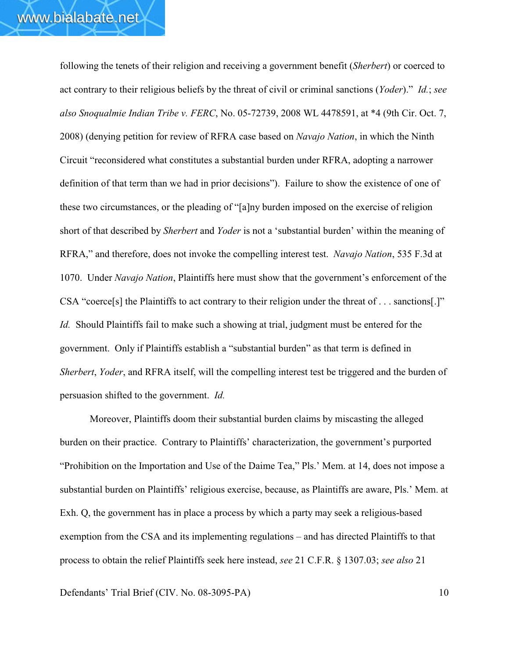following the tenets of their religion and receiving a government benefit (*Sherbert*) or coerced to act contrary to their religious beliefs by the threat of civil or criminal sanctions (*Yoder*)." *Id.*; *see also Snoqualmie Indian Tribe v. FERC*, No. 05-72739, 2008 WL 4478591, at \*4 (9th Cir. Oct. 7, 2008) (denying petition for review of RFRA case based on *Navajo Nation*, in which the Ninth Circuit "reconsidered what constitutes a substantial burden under RFRA, adopting a narrower definition of that term than we had in prior decisions"). Failure to show the existence of one of these two circumstances, or the pleading of "[a]ny burden imposed on the exercise of religion short of that described by *Sherbert* and *Yoder* is not a 'substantial burden' within the meaning of RFRA," and therefore, does not invoke the compelling interest test. *Navajo Nation*, 535 F.3d at 1070. Under *Navajo Nation*, Plaintiffs here must show that the government's enforcement of the CSA "coerce[s] the Plaintiffs to act contrary to their religion under the threat of . . . sanctions[.]" *Id.* Should Plaintiffs fail to make such a showing at trial, judgment must be entered for the government. Only if Plaintiffs establish a "substantial burden" as that term is defined in *Sherbert*, *Yoder*, and RFRA itself, will the compelling interest test be triggered and the burden of persuasion shifted to the government. *Id.*

Moreover, Plaintiffs doom their substantial burden claims by miscasting the alleged burden on their practice. Contrary to Plaintiffs' characterization, the government's purported "Prohibition on the Importation and Use of the Daime Tea," Pls.' Mem. at 14, does not impose a substantial burden on Plaintiffs' religious exercise, because, as Plaintiffs are aware, Pls.' Mem. at Exh. Q, the government has in place a process by which a party may seek a religious-based exemption from the CSA and its implementing regulations – and has directed Plaintiffs to that process to obtain the relief Plaintiffs seek here instead, *see* 21 C.F.R. § 1307.03; *see also* 21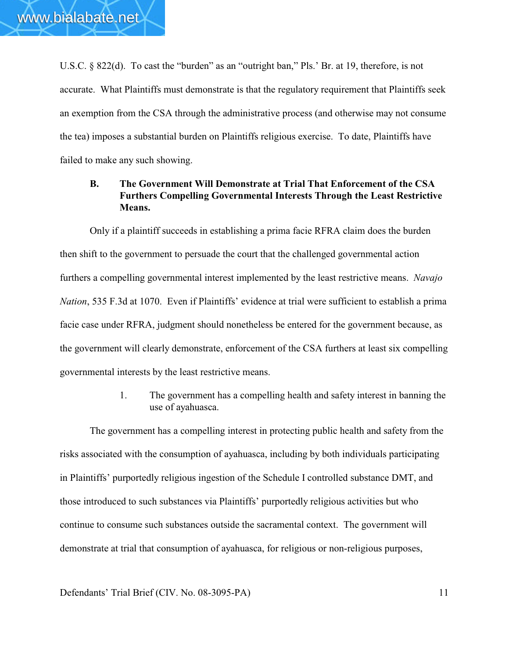U.S.C. § 822(d). To cast the "burden" as an "outright ban," Pls.' Br. at 19, therefore, is not accurate. What Plaintiffs must demonstrate is that the regulatory requirement that Plaintiffs seek an exemption from the CSA through the administrative process (and otherwise may not consume the tea) imposes a substantial burden on Plaintiffs religious exercise. To date, Plaintiffs have failed to make any such showing.

# **B. The Government Will Demonstrate at Trial That Enforcement of the CSA Furthers Compelling Governmental Interests Through the Least Restrictive Means.**

Only if a plaintiff succeeds in establishing a prima facie RFRA claim does the burden then shift to the government to persuade the court that the challenged governmental action furthers a compelling governmental interest implemented by the least restrictive means. *Navajo Nation*, 535 F.3d at 1070. Even if Plaintiffs' evidence at trial were sufficient to establish a prima facie case under RFRA, judgment should nonetheless be entered for the government because, as the government will clearly demonstrate, enforcement of the CSA furthers at least six compelling governmental interests by the least restrictive means.

> 1. The government has a compelling health and safety interest in banning the use of ayahuasca.

The government has a compelling interest in protecting public health and safety from the risks associated with the consumption of ayahuasca, including by both individuals participating in Plaintiffs' purportedly religious ingestion of the Schedule I controlled substance DMT, and those introduced to such substances via Plaintiffs' purportedly religious activities but who continue to consume such substances outside the sacramental context. The government will demonstrate at trial that consumption of ayahuasca, for religious or non-religious purposes,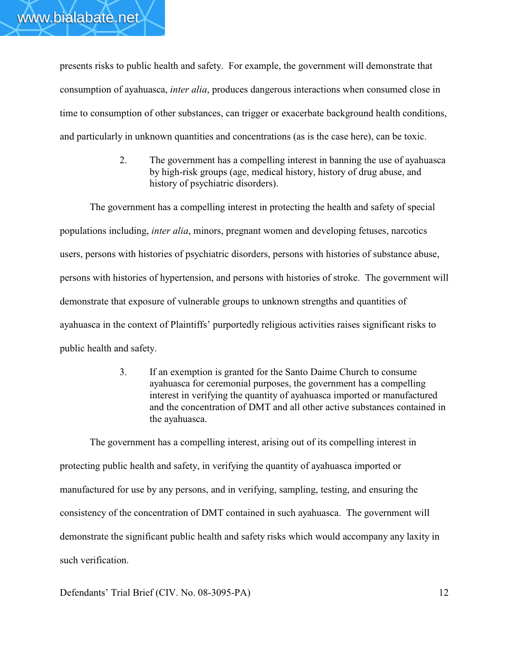presents risks to public health and safety. For example, the government will demonstrate that consumption of ayahuasca, *inter alia*, produces dangerous interactions when consumed close in time to consumption of other substances, can trigger or exacerbate background health conditions, and particularly in unknown quantities and concentrations (as is the case here), can be toxic.

> 2. The government has a compelling interest in banning the use of ayahuasca by high-risk groups (age, medical history, history of drug abuse, and history of psychiatric disorders).

The government has a compelling interest in protecting the health and safety of special populations including, *inter alia*, minors, pregnant women and developing fetuses, narcotics users, persons with histories of psychiatric disorders, persons with histories of substance abuse, persons with histories of hypertension, and persons with histories of stroke. The government will demonstrate that exposure of vulnerable groups to unknown strengths and quantities of ayahuasca in the context of Plaintiffs' purportedly religious activities raises significant risks to public health and safety.

> 3. If an exemption is granted for the Santo Daime Church to consume ayahuasca for ceremonial purposes, the government has a compelling interest in verifying the quantity of ayahuasca imported or manufactured and the concentration of DMT and all other active substances contained in the ayahuasca.

The government has a compelling interest, arising out of its compelling interest in protecting public health and safety, in verifying the quantity of ayahuasca imported or manufactured for use by any persons, and in verifying, sampling, testing, and ensuring the consistency of the concentration of DMT contained in such ayahuasca. The government will demonstrate the significant public health and safety risks which would accompany any laxity in such verification.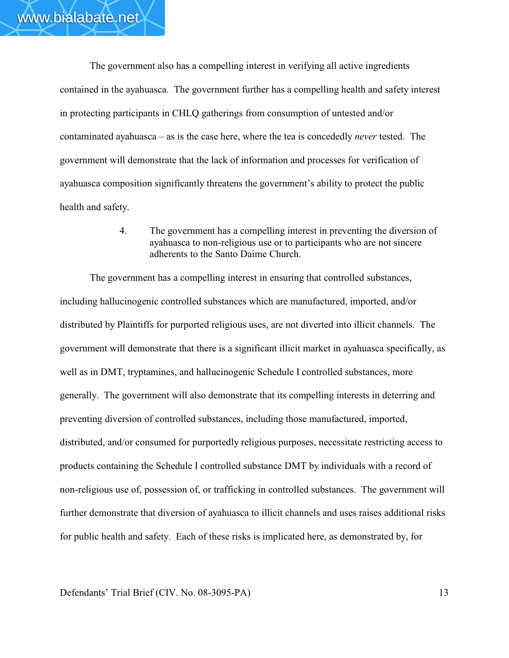The government also has a compelling interest in verifying all active ingredients contained in the ayahuasca. The government further has a compelling health and safety interest in protecting participants in CHLQ gatherings from consumption of untested and/or contaminated ayahuasca – as is the case here, where the tea is concededly *never* tested. The government will demonstrate that the lack of information and processes for verification of ayahuasca composition significantly threatens the government's ability to protect the public health and safety.

> 4. The government has a compelling interest in preventing the diversion of ayahuasca to non-religious use or to participants who are not sincere adherents to the Santo Daime Church.

The government has a compelling interest in ensuring that controlled substances, including hallucinogenic controlled substances which are manufactured, imported, and/or distributed by Plaintiffs for purported religious uses, are not diverted into illicit channels. The government will demonstrate that there is a significant illicit market in ayahuasca specifically, as well as in DMT, tryptamines, and hallucinogenic Schedule I controlled substances, more generally. The government will also demonstrate that its compelling interests in deterring and preventing diversion of controlled substances, including those manufactured, imported, distributed, and/or consumed for purportedly religious purposes, necessitate restricting access to products containing the Schedule I controlled substance DMT by individuals with a record of non-religious use of, possession of, or trafficking in controlled substances. The government will further demonstrate that diversion of ayahuasca to illicit channels and uses raises additional risks for public health and safety. Each of these risks is implicated here, as demonstrated by, for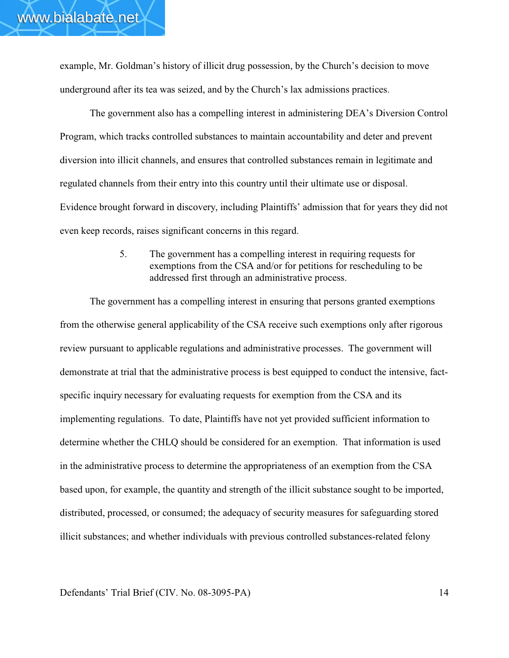example, Mr. Goldman's history of illicit drug possession, by the Church's decision to move underground after its tea was seized, and by the Church's lax admissions practices.

The government also has a compelling interest in administering DEA's Diversion Control Program, which tracks controlled substances to maintain accountability and deter and prevent diversion into illicit channels, and ensures that controlled substances remain in legitimate and regulated channels from their entry into this country until their ultimate use or disposal. Evidence brought forward in discovery, including Plaintiffs' admission that for years they did not even keep records, raises significant concerns in this regard.

> 5. The government has a compelling interest in requiring requests for exemptions from the CSA and/or for petitions for rescheduling to be addressed first through an administrative process.

The government has a compelling interest in ensuring that persons granted exemptions from the otherwise general applicability of the CSA receive such exemptions only after rigorous review pursuant to applicable regulations and administrative processes. The government will demonstrate at trial that the administrative process is best equipped to conduct the intensive, factspecific inquiry necessary for evaluating requests for exemption from the CSA and its implementing regulations. To date, Plaintiffs have not yet provided sufficient information to determine whether the CHLQ should be considered for an exemption. That information is used in the administrative process to determine the appropriateness of an exemption from the CSA based upon, for example, the quantity and strength of the illicit substance sought to be imported, distributed, processed, or consumed; the adequacy of security measures for safeguarding stored illicit substances; and whether individuals with previous controlled substances-related felony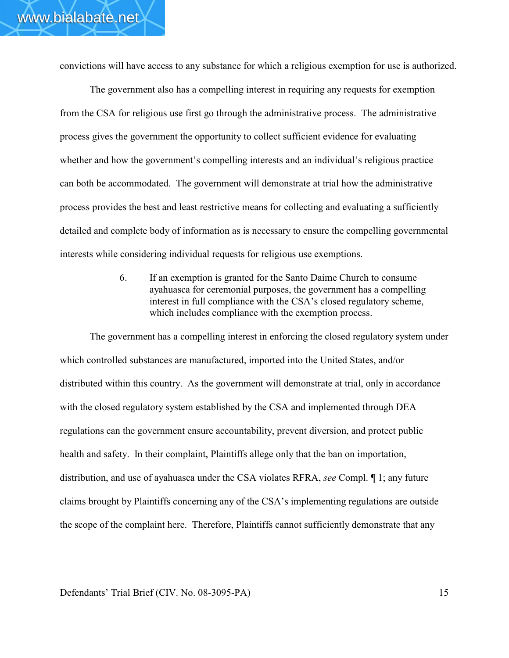convictions will have access to any substance for which a religious exemption for use is authorized.

The government also has a compelling interest in requiring any requests for exemption from the CSA for religious use first go through the administrative process. The administrative process gives the government the opportunity to collect sufficient evidence for evaluating whether and how the government's compelling interests and an individual's religious practice can both be accommodated. The government will demonstrate at trial how the administrative process provides the best and least restrictive means for collecting and evaluating a sufficiently detailed and complete body of information as is necessary to ensure the compelling governmental interests while considering individual requests for religious use exemptions.

> 6. If an exemption is granted for the Santo Daime Church to consume ayahuasca for ceremonial purposes, the government has a compelling interest in full compliance with the CSA's closed regulatory scheme, which includes compliance with the exemption process.

The government has a compelling interest in enforcing the closed regulatory system under which controlled substances are manufactured, imported into the United States, and/or distributed within this country. As the government will demonstrate at trial, only in accordance with the closed regulatory system established by the CSA and implemented through DEA regulations can the government ensure accountability, prevent diversion, and protect public health and safety. In their complaint, Plaintiffs allege only that the ban on importation, distribution, and use of ayahuasca under the CSA violates RFRA, *see* Compl. ¶ 1; any future claims brought by Plaintiffs concerning any of the CSA's implementing regulations are outside the scope of the complaint here. Therefore, Plaintiffs cannot sufficiently demonstrate that any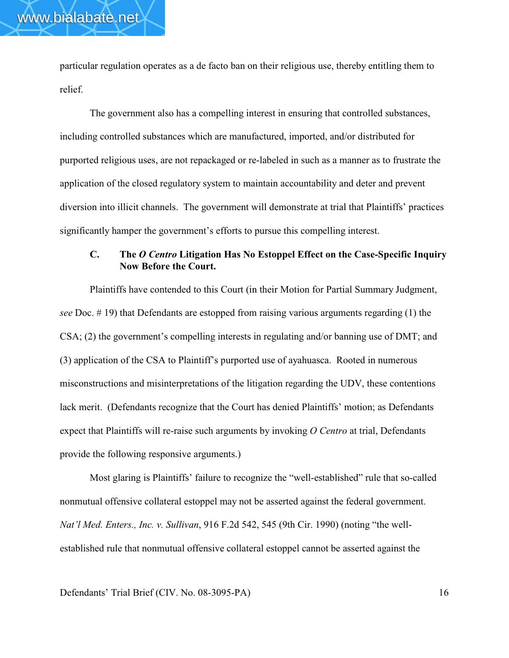particular regulation operates as a de facto ban on their religious use, thereby entitling them to relief.

www.bialabate.net

The government also has a compelling interest in ensuring that controlled substances, including controlled substances which are manufactured, imported, and/or distributed for purported religious uses, are not repackaged or re-labeled in such as a manner as to frustrate the application of the closed regulatory system to maintain accountability and deter and prevent diversion into illicit channels. The government will demonstrate at trial that Plaintiffs' practices significantly hamper the government's efforts to pursue this compelling interest.

# **C. The** *O Centro* **Litigation Has No Estoppel Effect on the Case-Specific Inquiry Now Before the Court.**

Plaintiffs have contended to this Court (in their Motion for Partial Summary Judgment, *see* Doc. # 19) that Defendants are estopped from raising various arguments regarding (1) the CSA; (2) the government's compelling interests in regulating and/or banning use of DMT; and (3) application of the CSA to Plaintiff's purported use of ayahuasca. Rooted in numerous misconstructions and misinterpretations of the litigation regarding the UDV, these contentions lack merit.(Defendants recognize that the Court has denied Plaintiffs' motion; as Defendants expect that Plaintiffs will re-raise such arguments by invoking *O Centro* at trial, Defendants provide the following responsive arguments.)

Most glaring is Plaintiffs' failure to recognize the "well-established" rule that so-called nonmutual offensive collateral estoppel may not be asserted against the federal government. *Nat'l Med. Enters., Inc. v. Sullivan*, 916 F.2d 542, 545 (9th Cir. 1990) (noting "the wellestablished rule that nonmutual offensive collateral estoppel cannot be asserted against the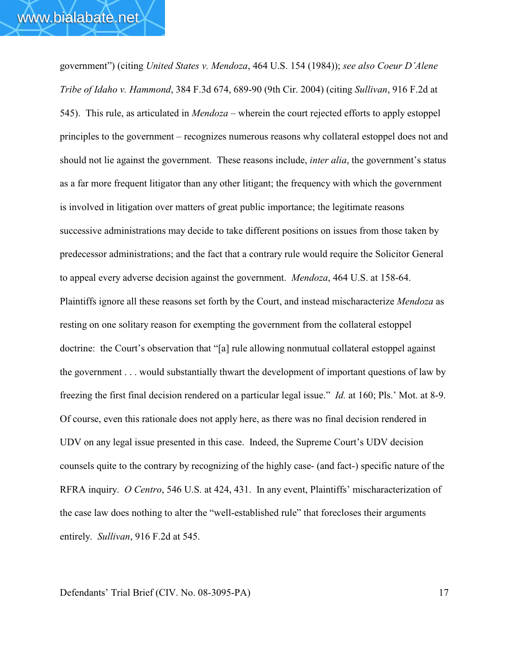government") (citing *United States v. Mendoza*, 464 U.S. 154 (1984)); *see also Coeur D'Alene Tribe of Idaho v. Hammond*, 384 F.3d 674, 689-90 (9th Cir. 2004) (citing *Sullivan*, 916 F.2d at 545). This rule, as articulated in *Mendoza* – wherein the court rejected efforts to apply estoppel principles to the government – recognizes numerous reasons why collateral estoppel does not and should not lie against the government. These reasons include, *inter alia*, the government's status as a far more frequent litigator than any other litigant; the frequency with which the government is involved in litigation over matters of great public importance; the legitimate reasons successive administrations may decide to take different positions on issues from those taken by predecessor administrations; and the fact that a contrary rule would require the Solicitor General to appeal every adverse decision against the government. *Mendoza*, 464 U.S. at 158-64. Plaintiffs ignore all these reasons set forth by the Court, and instead mischaracterize *Mendoza* as resting on one solitary reason for exempting the government from the collateral estoppel doctrine: the Court's observation that "[a] rule allowing nonmutual collateral estoppel against the government . . . would substantially thwart the development of important questions of law by freezing the first final decision rendered on a particular legal issue." *Id.* at 160; Pls.' Mot. at 8-9. Of course, even this rationale does not apply here, as there was no final decision rendered in UDV on any legal issue presented in this case. Indeed, the Supreme Court's UDV decision counsels quite to the contrary by recognizing of the highly case- (and fact-) specific nature of the RFRA inquiry. *O Centro*, 546 U.S. at 424, 431. In any event, Plaintiffs' mischaracterization of the case law does nothing to alter the "well-established rule" that forecloses their arguments entirely. *Sullivan*, 916 F.2d at 545.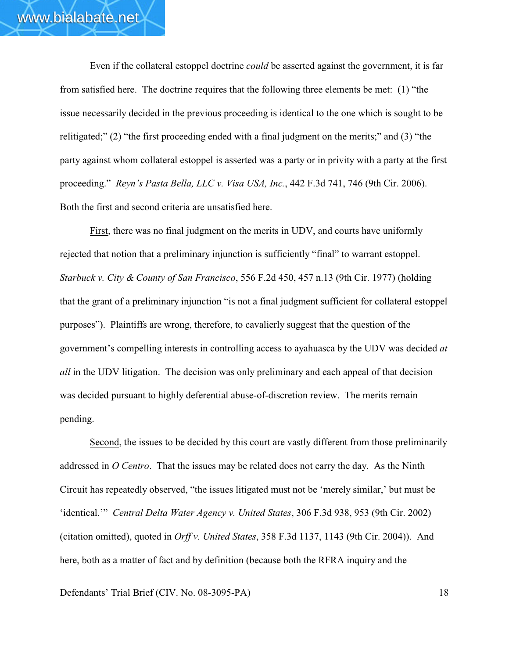Even if the collateral estoppel doctrine *could* be asserted against the government, it is far from satisfied here. The doctrine requires that the following three elements be met: (1) "the issue necessarily decided in the previous proceeding is identical to the one which is sought to be relitigated;" (2) "the first proceeding ended with a final judgment on the merits;" and (3) "the party against whom collateral estoppel is asserted was a party or in privity with a party at the first proceeding." *Reyn's Pasta Bella, LLC v. Visa USA, Inc.*, 442 F.3d 741, 746 (9th Cir. 2006). Both the first and second criteria are unsatisfied here.

First, there was no final judgment on the merits in UDV, and courts have uniformly rejected that notion that a preliminary injunction is sufficiently "final" to warrant estoppel. *Starbuck v. City & County of San Francisco*, 556 F.2d 450, 457 n.13 (9th Cir. 1977) (holding that the grant of a preliminary injunction "is not a final judgment sufficient for collateral estoppel purposes"). Plaintiffs are wrong, therefore, to cavalierly suggest that the question of the government's compelling interests in controlling access to ayahuasca by the UDV was decided *at all* in the UDV litigation. The decision was only preliminary and each appeal of that decision was decided pursuant to highly deferential abuse-of-discretion review. The merits remain pending.

Second, the issues to be decided by this court are vastly different from those preliminarily addressed in *O Centro*. That the issues may be related does not carry the day. As the Ninth Circuit has repeatedly observed, "the issues litigated must not be 'merely similar,' but must be 'identical.'" *Central Delta Water Agency v. United States*, 306 F.3d 938, 953 (9th Cir. 2002) (citation omitted), quoted in *Orff v. United States*, 358 F.3d 1137, 1143 (9th Cir. 2004)). And here, both as a matter of fact and by definition (because both the RFRA inquiry and the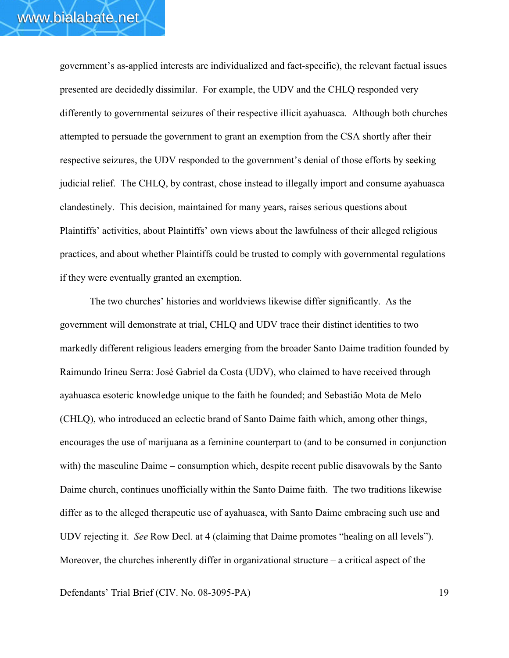government's as-applied interests are individualized and fact-specific), the relevant factual issues presented are decidedly dissimilar. For example, the UDV and the CHLQ responded very differently to governmental seizures of their respective illicit ayahuasca. Although both churches attempted to persuade the government to grant an exemption from the CSA shortly after their respective seizures, the UDV responded to the government's denial of those efforts by seeking judicial relief. The CHLQ, by contrast, chose instead to illegally import and consume ayahuasca clandestinely. This decision, maintained for many years, raises serious questions about Plaintiffs' activities, about Plaintiffs' own views about the lawfulness of their alleged religious practices, and about whether Plaintiffs could be trusted to comply with governmental regulations if they were eventually granted an exemption.

The two churches' histories and worldviews likewise differ significantly. As the government will demonstrate at trial, CHLQ and UDV trace their distinct identities to two markedly different religious leaders emerging from the broader Santo Daime tradition founded by Raimundo Irineu Serra: José Gabriel da Costa (UDV), who claimed to have received through ayahuasca esoteric knowledge unique to the faith he founded; and Sebastião Mota de Melo (CHLQ), who introduced an eclectic brand of Santo Daime faith which, among other things, encourages the use of marijuana as a feminine counterpart to (and to be consumed in conjunction with) the masculine Daime – consumption which, despite recent public disavowals by the Santo Daime church, continues unofficially within the Santo Daime faith. The two traditions likewise differ as to the alleged therapeutic use of ayahuasca, with Santo Daime embracing such use and UDV rejecting it. *See* Row Decl. at 4 (claiming that Daime promotes "healing on all levels"). Moreover, the churches inherently differ in organizational structure – a critical aspect of the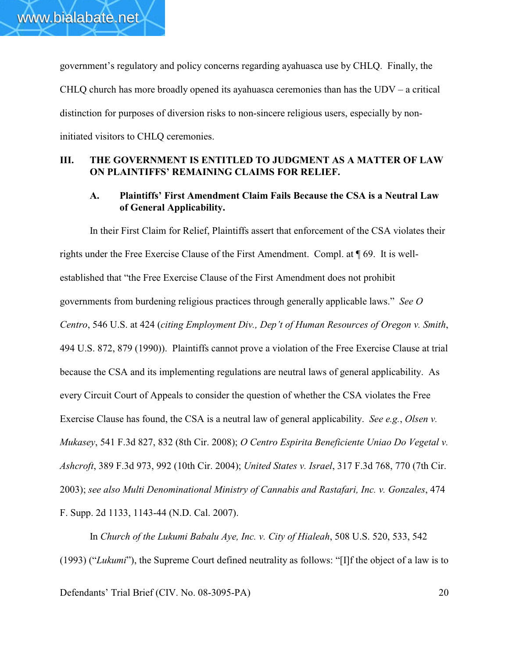government's regulatory and policy concerns regarding ayahuasca use by CHLQ. Finally, the CHLQ church has more broadly opened its ayahuasca ceremonies than has the  $UDV - a$  critical distinction for purposes of diversion risks to non-sincere religious users, especially by noninitiated visitors to CHLQ ceremonies.

# **III. THE GOVERNMENT IS ENTITLED TO JUDGMENT AS A MATTER OF LAW ON PLAINTIFFS' REMAINING CLAIMS FOR RELIEF.**

# **A. Plaintiffs' First Amendment Claim Fails Because the CSA is a Neutral Law of General Applicability.**

In their First Claim for Relief, Plaintiffs assert that enforcement of the CSA violates their rights under the Free Exercise Clause of the First Amendment. Compl. at ¶ 69. It is wellestablished that "the Free Exercise Clause of the First Amendment does not prohibit governments from burdening religious practices through generally applicable laws." *See O Centro*, 546 U.S. at 424 (*citing Employment Div., Dep't of Human Resources of Oregon v. Smith*, 494 U.S. 872, 879 (1990)). Plaintiffs cannot prove a violation of the Free Exercise Clause at trial because the CSA and its implementing regulations are neutral laws of general applicability. As every Circuit Court of Appeals to consider the question of whether the CSA violates the Free Exercise Clause has found, the CSA is a neutral law of general applicability. *See e.g.*, *Olsen v. Mukasey*, 541 F.3d 827, 832 (8th Cir. 2008); *O Centro Espirita Beneficiente Uniao Do Vegetal v. Ashcroft*, 389 F.3d 973, 992 (10th Cir. 2004); *United States v. Israel*, 317 F.3d 768, 770 (7th Cir. 2003); *see also Multi Denominational Ministry of Cannabis and Rastafari, Inc. v. Gonzales*, 474 F. Supp. 2d 1133, 1143-44 (N.D. Cal. 2007).

In *Church of the Lukumi Babalu Aye, Inc. v. City of Hialeah*, 508 U.S. 520, 533, 542 (1993) ("*Lukumi*"), the Supreme Court defined neutrality as follows: "[I]f the object of a law is to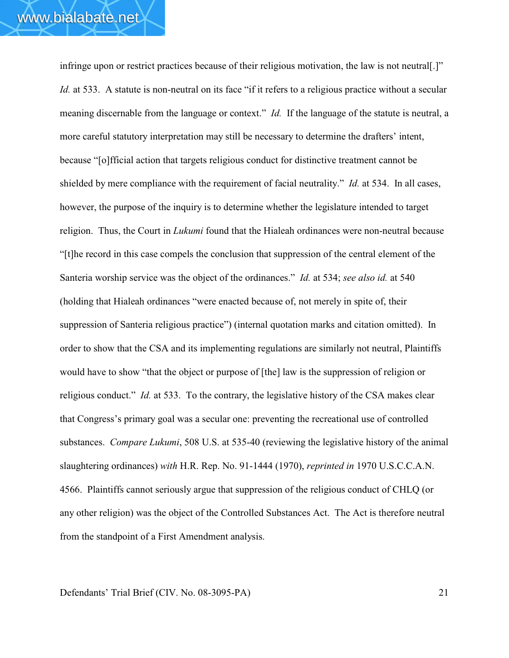infringe upon or restrict practices because of their religious motivation, the law is not neutral[.]" *Id.* at 533. A statute is non-neutral on its face "if it refers to a religious practice without a secular meaning discernable from the language or context." *Id.* If the language of the statute is neutral, a more careful statutory interpretation may still be necessary to determine the drafters' intent, because "[o]fficial action that targets religious conduct for distinctive treatment cannot be shielded by mere compliance with the requirement of facial neutrality." *Id.* at 534. In all cases, however, the purpose of the inquiry is to determine whether the legislature intended to target religion. Thus, the Court in *Lukumi* found that the Hialeah ordinances were non-neutral because "[t]he record in this case compels the conclusion that suppression of the central element of the Santeria worship service was the object of the ordinances." *Id.* at 534; *see also id.* at 540 (holding that Hialeah ordinances "were enacted because of, not merely in spite of, their suppression of Santeria religious practice") (internal quotation marks and citation omitted). In order to show that the CSA and its implementing regulations are similarly not neutral, Plaintiffs would have to show "that the object or purpose of [the] law is the suppression of religion or religious conduct." *Id.* at 533. To the contrary, the legislative history of the CSA makes clear that Congress's primary goal was a secular one: preventing the recreational use of controlled substances. *Compare Lukumi*, 508 U.S. at 535-40 (reviewing the legislative history of the animal slaughtering ordinances) *with* H.R. Rep. No. 91-1444 (1970), *reprinted in* 1970 U.S.C.C.A.N. 4566. Plaintiffs cannot seriously argue that suppression of the religious conduct of CHLQ (or any other religion) was the object of the Controlled Substances Act. The Act is therefore neutral from the standpoint of a First Amendment analysis.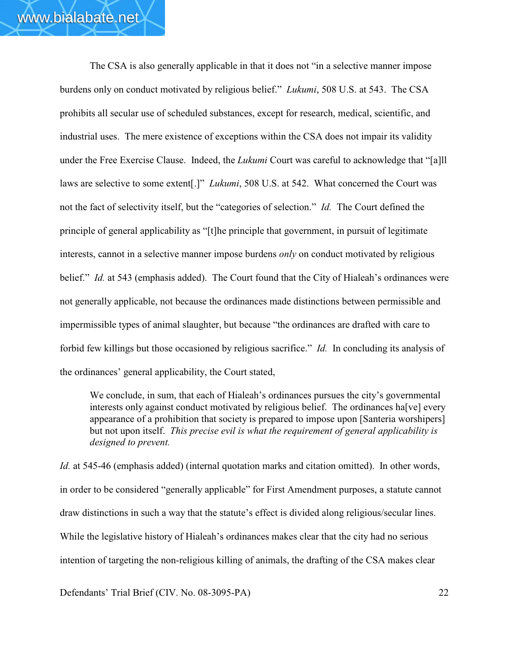The CSA is also generally applicable in that it does not "in a selective manner impose burdens only on conduct motivated by religious belief." *Lukumi*, 508 U.S. at 543. The CSA prohibits all secular use of scheduled substances, except for research, medical, scientific, and industrial uses. The mere existence of exceptions within the CSA does not impair its validity under the Free Exercise Clause. Indeed, the *Lukumi* Court was careful to acknowledge that "[a]ll laws are selective to some extent[.]" *Lukumi*, 508 U.S. at 542. What concerned the Court was not the fact of selectivity itself, but the "categories of selection." *Id.* The Court defined the principle of general applicability as "[t]he principle that government, in pursuit of legitimate interests, cannot in a selective manner impose burdens *only* on conduct motivated by religious belief." *Id.* at 543 (emphasis added). The Court found that the City of Hialeah's ordinances were not generally applicable, not because the ordinances made distinctions between permissible and impermissible types of animal slaughter, but because "the ordinances are drafted with care to forbid few killings but those occasioned by religious sacrifice." *Id.* In concluding its analysis of the ordinances' general applicability, the Court stated,

We conclude, in sum, that each of Hialeah's ordinances pursues the city's governmental interests only against conduct motivated by religious belief. The ordinances ha[ve] every appearance of a prohibition that society is prepared to impose upon [Santeria worshipers] but not upon itself. *This precise evil is what the requirement of general applicability is designed to prevent.*

*Id.* at 545-46 (emphasis added) (internal quotation marks and citation omitted). In other words, in order to be considered "generally applicable" for First Amendment purposes, a statute cannot draw distinctions in such a way that the statute's effect is divided along religious/secular lines. While the legislative history of Hialeah's ordinances makes clear that the city had no serious intention of targeting the non-religious killing of animals, the drafting of the CSA makes clear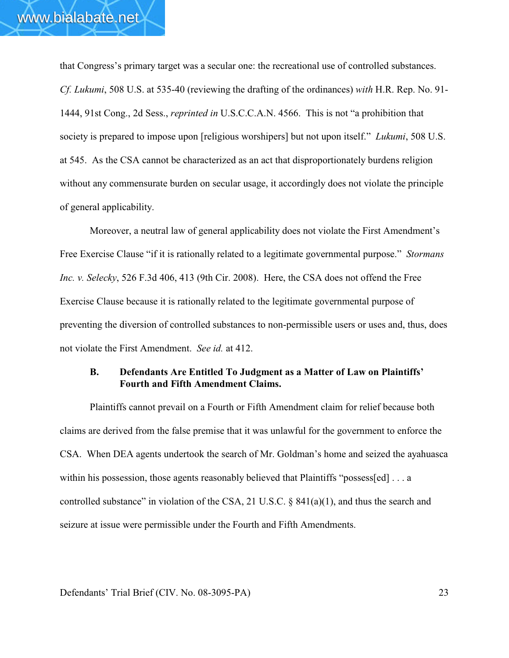that Congress's primary target was a secular one: the recreational use of controlled substances. *Cf. Lukumi*, 508 U.S. at 535-40 (reviewing the drafting of the ordinances) *with* H.R. Rep. No. 91- 1444, 91st Cong., 2d Sess., *reprinted in* U.S.C.C.A.N. 4566. This is not "a prohibition that society is prepared to impose upon [religious worshipers] but not upon itself." *Lukumi*, 508 U.S. at 545. As the CSA cannot be characterized as an act that disproportionately burdens religion without any commensurate burden on secular usage, it accordingly does not violate the principle of general applicability.

Moreover, a neutral law of general applicability does not violate the First Amendment's Free Exercise Clause "if it is rationally related to a legitimate governmental purpose." *Stormans Inc. v. Selecky*, 526 F.3d 406, 413 (9th Cir. 2008). Here, the CSA does not offend the Free Exercise Clause because it is rationally related to the legitimate governmental purpose of preventing the diversion of controlled substances to non-permissible users or uses and, thus, does not violate the First Amendment. *See id.* at 412.

#### **B. Defendants Are Entitled To Judgment as a Matter of Law on Plaintiffs' Fourth and Fifth Amendment Claims.**

Plaintiffs cannot prevail on a Fourth or Fifth Amendment claim for relief because both claims are derived from the false premise that it was unlawful for the government to enforce the CSA. When DEA agents undertook the search of Mr. Goldman's home and seized the ayahuasca within his possession, those agents reasonably believed that Plaintiffs "possess[ed] ... a controlled substance" in violation of the CSA, 21 U.S.C. § 841(a)(1), and thus the search and seizure at issue were permissible under the Fourth and Fifth Amendments.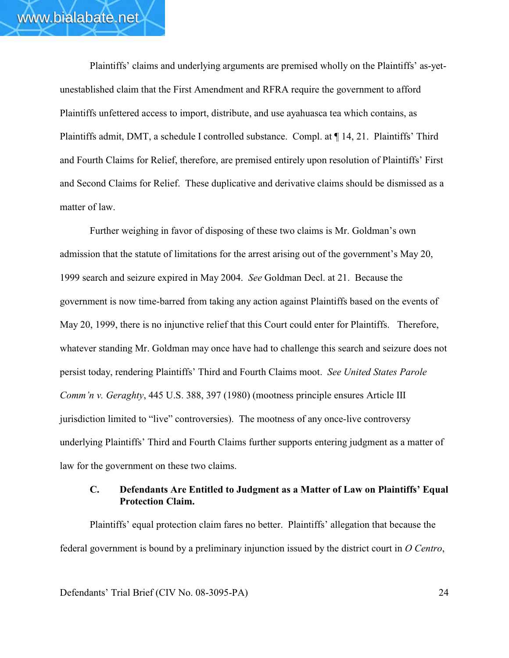Plaintiffs' claims and underlying arguments are premised wholly on the Plaintiffs' as-yetunestablished claim that the First Amendment and RFRA require the government to afford Plaintiffs unfettered access to import, distribute, and use ayahuasca tea which contains, as Plaintiffs admit, DMT, a schedule I controlled substance. Compl. at ¶ 14, 21. Plaintiffs' Third and Fourth Claims for Relief, therefore, are premised entirely upon resolution of Plaintiffs' First and Second Claims for Relief. These duplicative and derivative claims should be dismissed as a matter of law.

Further weighing in favor of disposing of these two claims is Mr. Goldman's own admission that the statute of limitations for the arrest arising out of the government's May 20, 1999 search and seizure expired in May 2004. *See* Goldman Decl. at 21. Because the government is now time-barred from taking any action against Plaintiffs based on the events of May 20, 1999, there is no injunctive relief that this Court could enter for Plaintiffs. Therefore, whatever standing Mr. Goldman may once have had to challenge this search and seizure does not persist today, rendering Plaintiffs' Third and Fourth Claims moot. *See United States Parole Comm'n v. Geraghty*, 445 U.S. 388, 397 (1980) (mootness principle ensures Article III jurisdiction limited to "live" controversies). The mootness of any once-live controversy underlying Plaintiffs' Third and Fourth Claims further supports entering judgment as a matter of law for the government on these two claims.

### **C. Defendants Are Entitled to Judgment as a Matter of Law on Plaintiffs' Equal Protection Claim.**

Plaintiffs' equal protection claim fares no better. Plaintiffs' allegation that because the federal government is bound by a preliminary injunction issued by the district court in *O Centro*,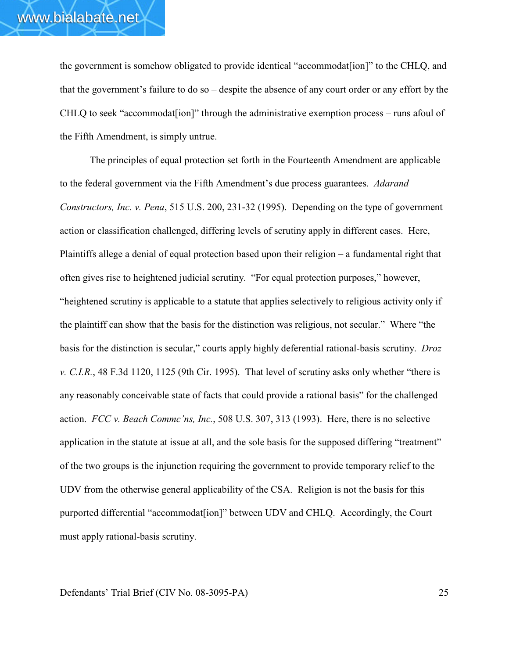the government is somehow obligated to provide identical "accommodat[ion]" to the CHLQ, and that the government's failure to do so – despite the absence of any court order or any effort by the CHLQ to seek "accommodat[ion]" through the administrative exemption process – runs afoul of the Fifth Amendment, is simply untrue.

The principles of equal protection set forth in the Fourteenth Amendment are applicable to the federal government via the Fifth Amendment's due process guarantees. *Adarand Constructors, Inc. v. Pena*, 515 U.S. 200, 231-32 (1995). Depending on the type of government action or classification challenged, differing levels of scrutiny apply in different cases. Here, Plaintiffs allege a denial of equal protection based upon their religion – a fundamental right that often gives rise to heightened judicial scrutiny. "For equal protection purposes," however, "heightened scrutiny is applicable to a statute that applies selectively to religious activity only if the plaintiff can show that the basis for the distinction was religious, not secular." Where "the basis for the distinction is secular," courts apply highly deferential rational-basis scrutiny. *Droz v. C.I.R.*, 48 F.3d 1120, 1125 (9th Cir. 1995). That level of scrutiny asks only whether "there is any reasonably conceivable state of facts that could provide a rational basis" for the challenged action. *FCC v. Beach Commc'ns, Inc.*, 508 U.S. 307, 313 (1993). Here, there is no selective application in the statute at issue at all, and the sole basis for the supposed differing "treatment" of the two groups is the injunction requiring the government to provide temporary relief to the UDV from the otherwise general applicability of the CSA. Religion is not the basis for this purported differential "accommodat[ion]" between UDV and CHLQ. Accordingly, the Court must apply rational-basis scrutiny.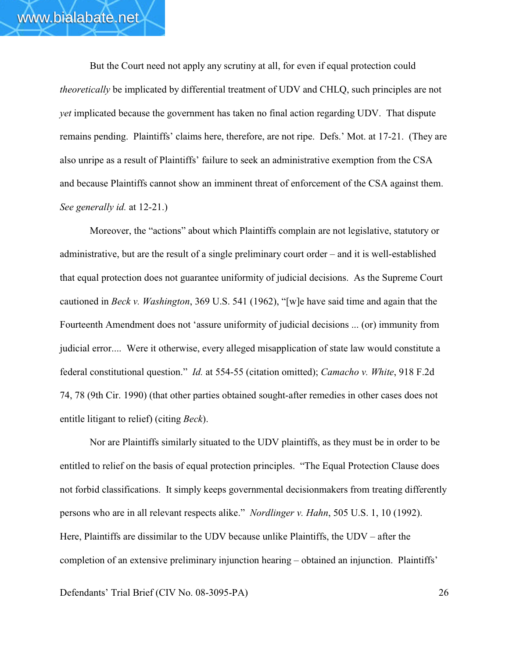But the Court need not apply any scrutiny at all, for even if equal protection could *theoretically* be implicated by differential treatment of UDV and CHLQ, such principles are not *yet* implicated because the government has taken no final action regarding UDV. That dispute remains pending. Plaintiffs' claims here, therefore, are not ripe. Defs.' Mot. at 17-21. (They are also unripe as a result of Plaintiffs' failure to seek an administrative exemption from the CSA and because Plaintiffs cannot show an imminent threat of enforcement of the CSA against them. *See generally id.* at 12-21.)

Moreover, the "actions" about which Plaintiffs complain are not legislative, statutory or administrative, but are the result of a single preliminary court order – and it is well-established that equal protection does not guarantee uniformity of judicial decisions. As the Supreme Court cautioned in *Beck v. Washington*, 369 U.S. 541 (1962), "[w]e have said time and again that the Fourteenth Amendment does not 'assure uniformity of judicial decisions ... (or) immunity from judicial error.... Were it otherwise, every alleged misapplication of state law would constitute a federal constitutional question." *Id.* at 554-55 (citation omitted); *Camacho v. White*, 918 F.2d 74, 78 (9th Cir. 1990) (that other parties obtained sought-after remedies in other cases does not entitle litigant to relief) (citing *Beck*).

Nor are Plaintiffs similarly situated to the UDV plaintiffs, as they must be in order to be entitled to relief on the basis of equal protection principles. "The Equal Protection Clause does not forbid classifications. It simply keeps governmental decisionmakers from treating differently persons who are in all relevant respects alike." *Nordlinger v. Hahn*, 505 U.S. 1, 10 (1992). Here, Plaintiffs are dissimilar to the UDV because unlike Plaintiffs, the UDV – after the completion of an extensive preliminary injunction hearing – obtained an injunction. Plaintiffs'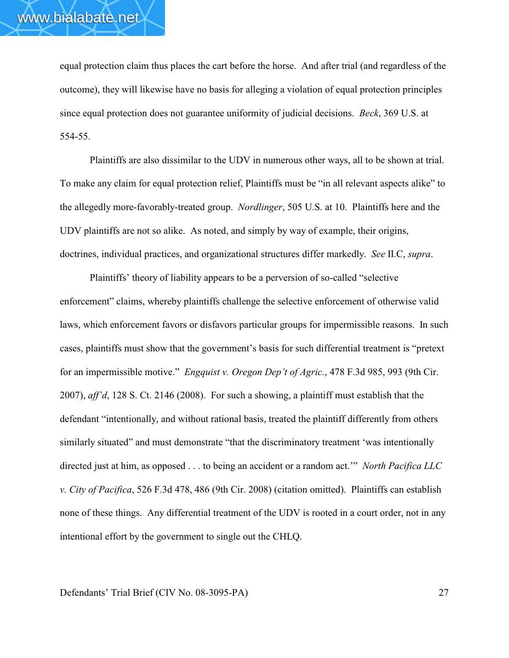equal protection claim thus places the cart before the horse. And after trial (and regardless of the outcome), they will likewise have no basis for alleging a violation of equal protection principles since equal protection does not guarantee uniformity of judicial decisions. *Beck*, 369 U.S. at 554-55.

Plaintiffs are also dissimilar to the UDV in numerous other ways, all to be shown at trial. To make any claim for equal protection relief, Plaintiffs must be "in all relevant aspects alike" to the allegedly more-favorably-treated group. *Nordlinger*, 505 U.S. at 10. Plaintiffs here and the UDV plaintiffs are not so alike. As noted, and simply by way of example, their origins, doctrines, individual practices, and organizational structures differ markedly. *See* II.C, *supra*.

Plaintiffs' theory of liability appears to be a perversion of so-called "selective enforcement" claims, whereby plaintiffs challenge the selective enforcement of otherwise valid laws, which enforcement favors or disfavors particular groups for impermissible reasons. In such cases, plaintiffs must show that the government's basis for such differential treatment is "pretext for an impermissible motive." *Engquist v. Oregon Dep't of Agric.*, 478 F.3d 985, 993 (9th Cir. 2007), *aff'd*, 128 S. Ct. 2146 (2008). For such a showing, a plaintiff must establish that the defendant "intentionally, and without rational basis, treated the plaintiff differently from others similarly situated" and must demonstrate "that the discriminatory treatment 'was intentionally directed just at him, as opposed . . . to being an accident or a random act.'" *North Pacifica LLC v. City of Pacifica*, 526 F.3d 478, 486 (9th Cir. 2008) (citation omitted). Plaintiffs can establish none of these things. Any differential treatment of the UDV is rooted in a court order, not in any intentional effort by the government to single out the CHLQ.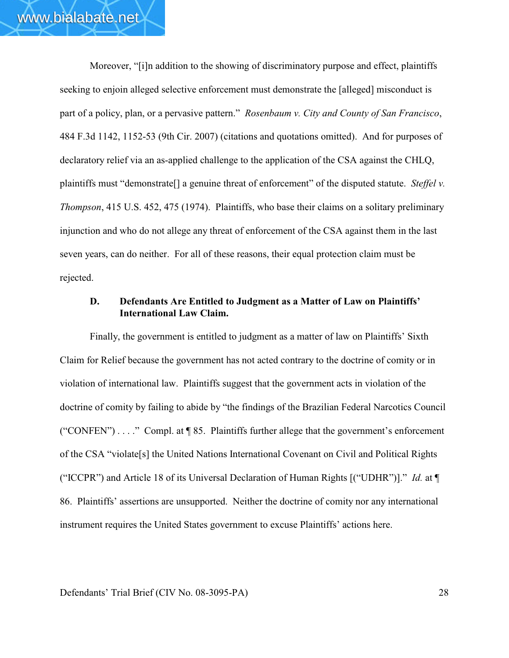Moreover, "[i]n addition to the showing of discriminatory purpose and effect, plaintiffs seeking to enjoin alleged selective enforcement must demonstrate the [alleged] misconduct is part of a policy, plan, or a pervasive pattern." *Rosenbaum v. City and County of San Francisco*, 484 F.3d 1142, 1152-53 (9th Cir. 2007) (citations and quotations omitted). And for purposes of declaratory relief via an as-applied challenge to the application of the CSA against the CHLQ, plaintiffs must "demonstrate[] a genuine threat of enforcement" of the disputed statute. *Steffel v. Thompson*, 415 U.S. 452, 475 (1974). Plaintiffs, who base their claims on a solitary preliminary injunction and who do not allege any threat of enforcement of the CSA against them in the last seven years, can do neither. For all of these reasons, their equal protection claim must be rejected.

#### **D. Defendants Are Entitled to Judgment as a Matter of Law on Plaintiffs' International Law Claim.**

Finally, the government is entitled to judgment as a matter of law on Plaintiffs' Sixth Claim for Relief because the government has not acted contrary to the doctrine of comity or in violation of international law. Plaintiffs suggest that the government acts in violation of the doctrine of comity by failing to abide by "the findings of the Brazilian Federal Narcotics Council ("CONFEN") . . . ." Compl. at ¶ 85. Plaintiffs further allege that the government's enforcement of the CSA "violate[s] the United Nations International Covenant on Civil and Political Rights ("ICCPR") and Article 18 of its Universal Declaration of Human Rights [("UDHR")]." *Id.* at ¶ 86. Plaintiffs' assertions are unsupported. Neither the doctrine of comity nor any international instrument requires the United States government to excuse Plaintiffs' actions here.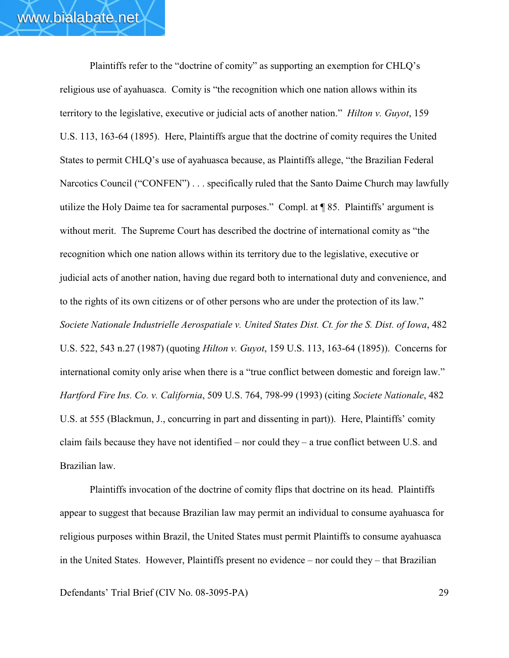Plaintiffs refer to the "doctrine of comity" as supporting an exemption for CHLQ's religious use of ayahuasca. Comity is "the recognition which one nation allows within its territory to the legislative, executive or judicial acts of another nation." *Hilton v. Guyot*, 159 U.S. 113, 163-64 (1895). Here, Plaintiffs argue that the doctrine of comity requires the United States to permit CHLQ's use of ayahuasca because, as Plaintiffs allege, "the Brazilian Federal Narcotics Council ("CONFEN") . . . specifically ruled that the Santo Daime Church may lawfully utilize the Holy Daime tea for sacramental purposes." Compl. at ¶ 85. Plaintiffs' argument is without merit. The Supreme Court has described the doctrine of international comity as "the recognition which one nation allows within its territory due to the legislative, executive or judicial acts of another nation, having due regard both to international duty and convenience, and to the rights of its own citizens or of other persons who are under the protection of its law." *Societe Nationale Industrielle Aerospatiale v. United States Dist. Ct. for the S. Dist. of Iowa*, 482 U.S. 522, 543 n.27 (1987) (quoting *Hilton v. Guyot*, 159 U.S. 113, 163-64 (1895)). Concerns for international comity only arise when there is a "true conflict between domestic and foreign law." *Hartford Fire Ins. Co. v. California*, 509 U.S. 764, 798-99 (1993) (citing *Societe Nationale*, 482 U.S. at 555 (Blackmun, J., concurring in part and dissenting in part)). Here, Plaintiffs' comity claim fails because they have not identified – nor could they – a true conflict between U.S. and Brazilian law.

Plaintiffs invocation of the doctrine of comity flips that doctrine on its head. Plaintiffs appear to suggest that because Brazilian law may permit an individual to consume ayahuasca for religious purposes within Brazil, the United States must permit Plaintiffs to consume ayahuasca in the United States. However, Plaintiffs present no evidence – nor could they – that Brazilian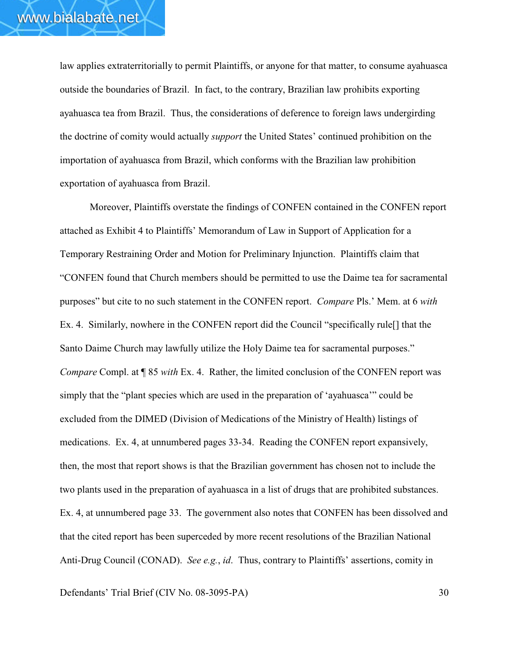law applies extraterritorially to permit Plaintiffs, or anyone for that matter, to consume ayahuasca outside the boundaries of Brazil. In fact, to the contrary, Brazilian law prohibits exporting ayahuasca tea from Brazil. Thus, the considerations of deference to foreign laws undergirding the doctrine of comity would actually *support* the United States' continued prohibition on the importation of ayahuasca from Brazil, which conforms with the Brazilian law prohibition exportation of ayahuasca from Brazil.

Moreover, Plaintiffs overstate the findings of CONFEN contained in the CONFEN report attached as Exhibit 4 to Plaintiffs' Memorandum of Law in Support of Application for a Temporary Restraining Order and Motion for Preliminary Injunction. Plaintiffs claim that "CONFEN found that Church members should be permitted to use the Daime tea for sacramental purposes" but cite to no such statement in the CONFEN report. *Compare* Pls.' Mem. at 6 *with* Ex. 4. Similarly, nowhere in the CONFEN report did the Council "specifically rule<sup>[]</sup> that the Santo Daime Church may lawfully utilize the Holy Daime tea for sacramental purposes." *Compare* Compl. at  $\P$  85 *with* Ex. 4. Rather, the limited conclusion of the CONFEN report was simply that the "plant species which are used in the preparation of 'ayahuasca'" could be excluded from the DIMED (Division of Medications of the Ministry of Health) listings of medications. Ex. 4, at unnumbered pages 33-34. Reading the CONFEN report expansively, then, the most that report shows is that the Brazilian government has chosen not to include the two plants used in the preparation of ayahuasca in a list of drugs that are prohibited substances. Ex. 4, at unnumbered page 33. The government also notes that CONFEN has been dissolved and that the cited report has been superceded by more recent resolutions of the Brazilian National Anti-Drug Council (CONAD). *See e.g.*, *id*. Thus, contrary to Plaintiffs' assertions, comity in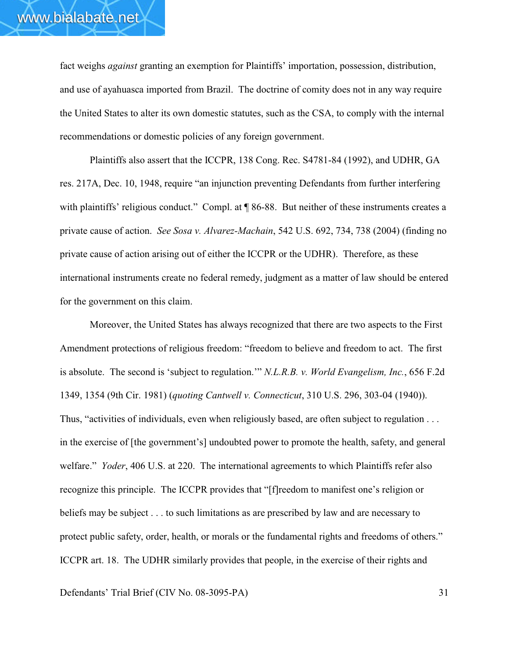fact weighs *against* granting an exemption for Plaintiffs' importation, possession, distribution, and use of ayahuasca imported from Brazil. The doctrine of comity does not in any way require the United States to alter its own domestic statutes, such as the CSA, to comply with the internal recommendations or domestic policies of any foreign government.

Plaintiffs also assert that the ICCPR, 138 Cong. Rec. S4781-84 (1992), and UDHR, GA res. 217A, Dec. 10, 1948, require "an injunction preventing Defendants from further interfering with plaintiffs' religious conduct." Compl. at  $\P$  86-88. But neither of these instruments creates a private cause of action. *See Sosa v. Alvarez-Machain*, 542 U.S. 692, 734, 738 (2004) (finding no private cause of action arising out of either the ICCPR or the UDHR). Therefore, as these international instruments create no federal remedy, judgment as a matter of law should be entered for the government on this claim.

Moreover, the United States has always recognized that there are two aspects to the First Amendment protections of religious freedom: "freedom to believe and freedom to act. The first is absolute. The second is 'subject to regulation.'" *N.L.R.B. v. World Evangelism, Inc.*, 656 F.2d 1349, 1354 (9th Cir. 1981) (*quoting Cantwell v. Connecticut*, 310 U.S. 296, 303-04 (1940)). Thus, "activities of individuals, even when religiously based, are often subject to regulation . . . in the exercise of [the government's] undoubted power to promote the health, safety, and general welfare." *Yoder*, 406 U.S. at 220. The international agreements to which Plaintiffs refer also recognize this principle. The ICCPR provides that "[f]reedom to manifest one's religion or beliefs may be subject . . . to such limitations as are prescribed by law and are necessary to protect public safety, order, health, or morals or the fundamental rights and freedoms of others." ICCPR art. 18. The UDHR similarly provides that people, in the exercise of their rights and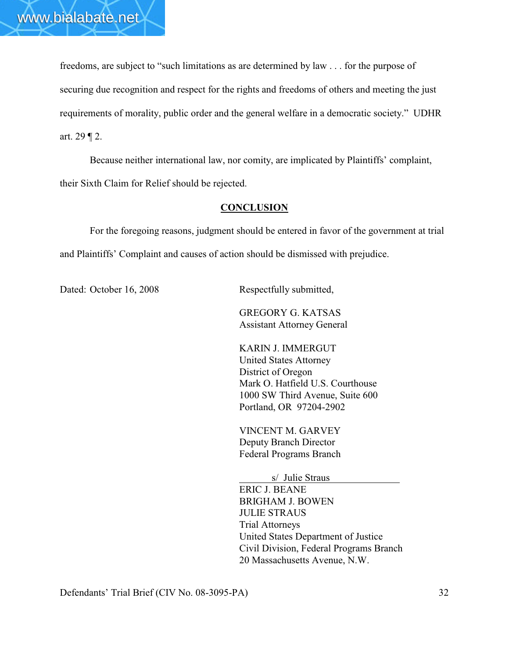freedoms, are subject to "such limitations as are determined by law . . . for the purpose of securing due recognition and respect for the rights and freedoms of others and meeting the just requirements of morality, public order and the general welfare in a democratic society." UDHR art. 29 ¶ 2.

Because neither international law, nor comity, are implicated by Plaintiffs' complaint, their Sixth Claim for Relief should be rejected.

#### **CONCLUSION**

For the foregoing reasons, judgment should be entered in favor of the government at trial and Plaintiffs' Complaint and causes of action should be dismissed with prejudice.

Dated: October 16, 2008 Respectfully submitted,

GREGORY G. KATSAS Assistant Attorney General

KARIN J. IMMERGUT United States Attorney District of Oregon Mark O. Hatfield U.S. Courthouse 1000 SW Third Avenue, Suite 600 Portland, OR 97204-2902

VINCENT M. GARVEY Deputy Branch Director Federal Programs Branch

 s/ Julie Straus ERIC J. BEANE BRIGHAM J. BOWEN JULIE STRAUS Trial Attorneys United States Department of Justice Civil Division, Federal Programs Branch 20 Massachusetts Avenue, N.W.